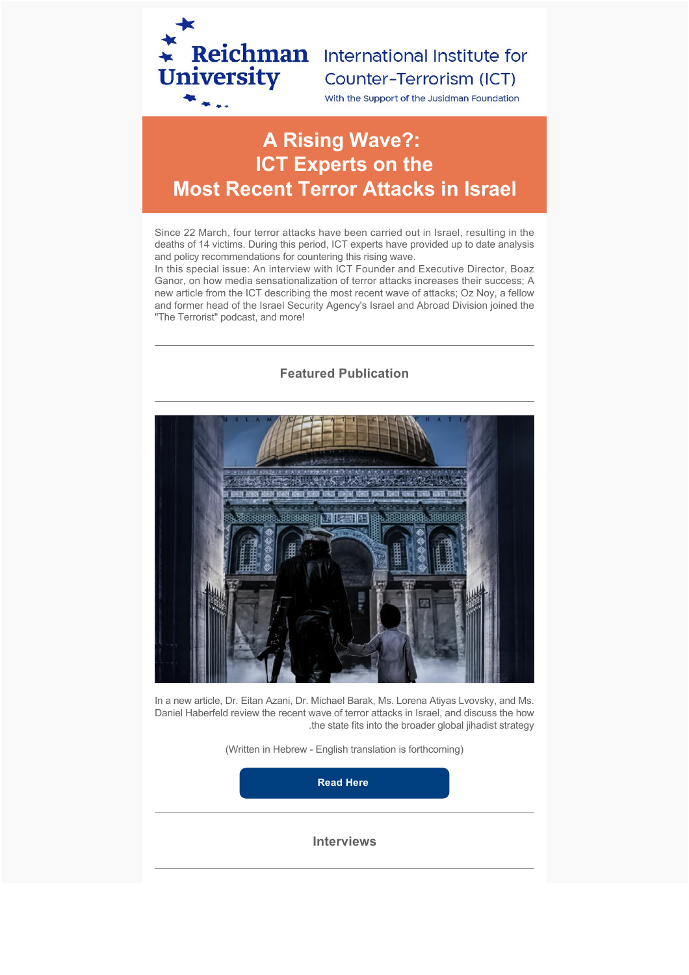

# Counter-Terrorism (ICT)

With the Support of the Jusidman Foundation

# **A Rising Wave?: ICT Experts on the Most Recent Terror Attacks in Israel**

Since 22 March, four terror attacks have been carried out in Israel, resulting in the deaths of 14 victims. During this period, ICT experts have provided up to date analysis and policy recommendations for countering this rising wave.

In this special issue: An interview with ICT Founder and Executive Director, Boaz Ganor, on how media sensationalization of terror attacks increases their success; A new article from the ICT describing the most recent wave of attacks; Oz Noy, a fellow and former head of the Israel Security Agency's Israel and Abroad Division joined the "The Terrorist" podcast, and more!

# **Featured Publication**



In a new article, Dr. Eitan Azani, Dr. Michael Barak, Ms. Lorena Atiyas Lvovsky, and Ms. Daniel Haberfeld review the recent wave of terror attacks in Israel, and discuss the how .the state fits into the broader global jihadist strategy

(Written in Hebrew - English translation is forthcoming)

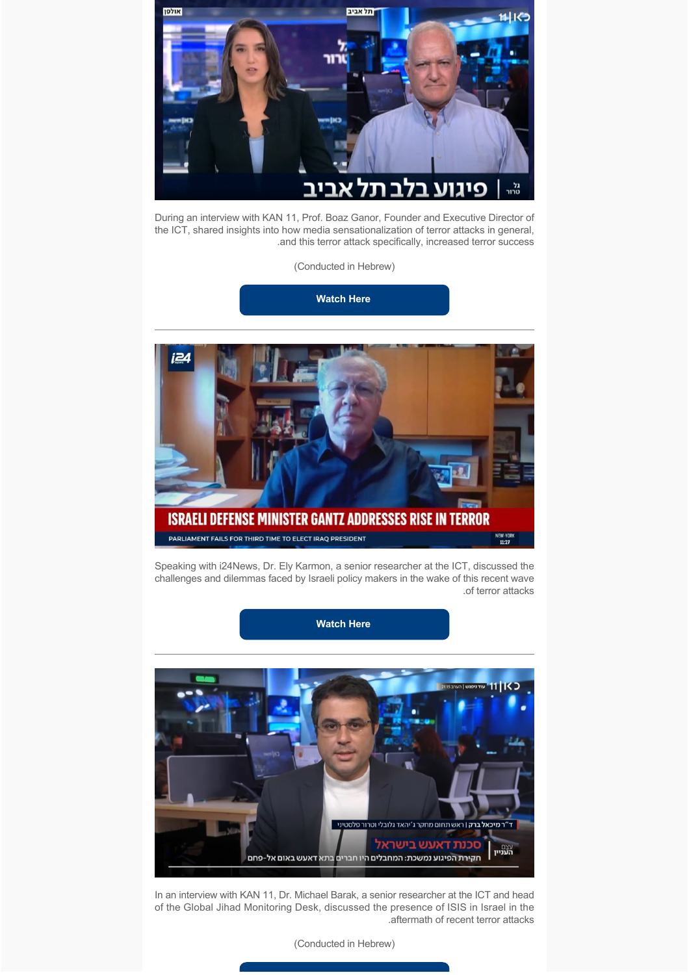

During an interview with KAN 11, Prof. Boaz Ganor, Founder and Executive Director of the ICT, shared insights into how media sensationalization of terror attacks in general, .and this terror attack specifically, increased terror success

(Conducted in Hebrew)

**[Watch Here](https://www.dropbox.com/s/s93iapkiquw6a0b/Boaz%20Ganor%20-%20Media%20Sensationalism%20After%20Tel%20Aviv%20Attack.mp4?dl=0)** 



Speaking with i24News, Dr. Ely Karmon, a senior researcher at the ICT, discussed the challenges and dilemmas faced by Israeli policy makers in the wake of this recent wave .of terror attacks

**[Watch Here](https://www.dropbox.com/s/bbk72ol5cejm5lp/Ely%20Karmon%20-%20Challenges%20to%20Policy%20Makers%20in%20Aftermath%20of%20Attack.mp4?dl=0)**



In an interview with KAN 11, Dr. Michael Barak, a senior researcher at the ICT and head of the Global Jihad Monitoring Desk, discussed the presence of ISIS in Israel in the .aftermath of recent terror attacks

(Conducted in Hebrew)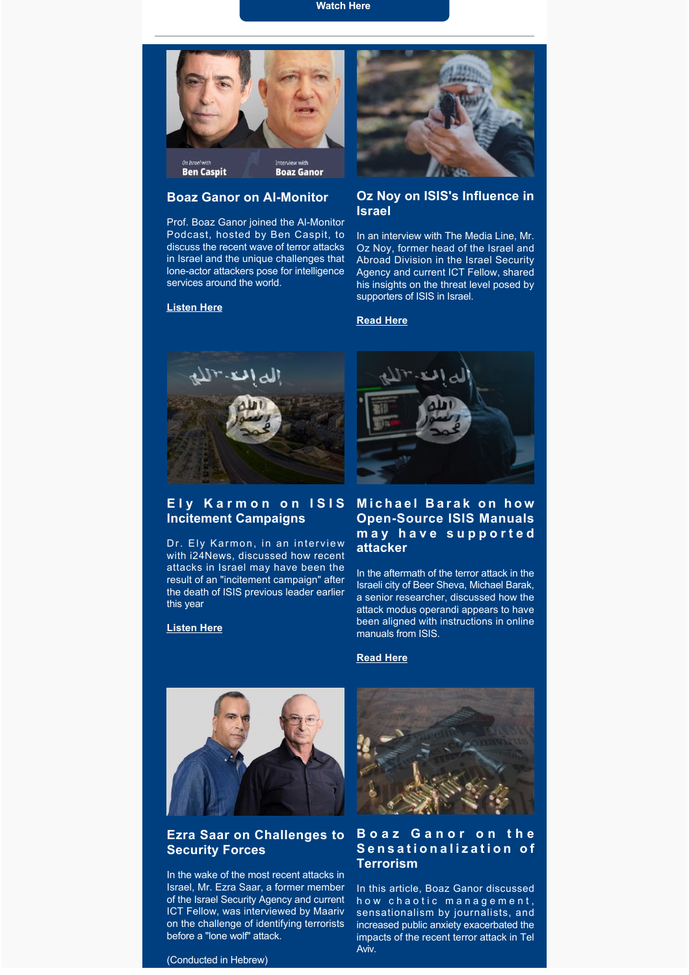**[Watch Here](https://www.youtube.com/watch?v=muE7HKmZUPo&t=1475s)**



#### **Boaz Ganor on Al-Monitor**

Prof. Boaz Ganor joined the Al-Monitor Podcast, hosted by Ben Caspit, to discuss the recent wave of terror attacks in Israel and the unique challenges that lone-actor attackers pose for intelligence services around the world.

#### **[Listen Here](https://www.al-monitor.com/podcasts/counter-terrorism-expert-boaz-ganor-intelligence-key-thwarting-terror-attacks)**



# **Oz Noy on ISIS's Influence in Israel**

In an interview with The Media Line, Mr. Oz Noy, former head of the Israel and Abroad Division in the Israel Security Agency and current ICT Fellow, shared his insights on the threat level posed by supporters of ISIS in Israel.

#### **[Read Here](https://themedialine.org/top-stories/terrorists-in-2-deadly-attacks-in-israel-affiliated-with-islamic-state/)**



### **Ely Karmon on ISIS Incitement Campaigns**

Dr. Ely Karmon, in an interview with i24News, discussed how recent attacks in Israel may have been the result of an "incitement campaign" after the death of ISIS previous leader earlier this year

#### **[Listen Here](https://www.dropbox.com/s/guvfi8iel3yg47o/Be%27er%20Sheva%20Attack%20-%20Ely%20Karmon%20on%20i24NewsEnglish.mp4?dl=0)**



# **Michael Barak on how Open-Source ISIS Manuals may have supported attacker**

In the aftermath of the terror attack in the Israeli city of Beer Sheva, Michael Barak, a senior researcher, discussed how the attack modus operandi appears to have been aligned with instructions in online manuals from ISIS.

#### **[Read Here](https://www.jns.org/beersheva-terrorist-appeared-to-have-acted-in-line-with-isis-manuals/)**



## **Ezra Saar on Challenges to Security Forces**

In the wake of the most recent attacks in Israel, Mr. Ezra Saar, a former member of the Israel Security Agency and current ICT Fellow, was interviewed by Maariv on the challenge of identifying terrorists before a "lone wolf" attack.



## **Boaz Ganor on the Sensationalization of Terrorism**

In this article, Boaz Ganor discussed how chaotic management, sensationalism by journalists, and increased public anxiety exacerbated the impacts of the recent terror attack in Tel Aviv.